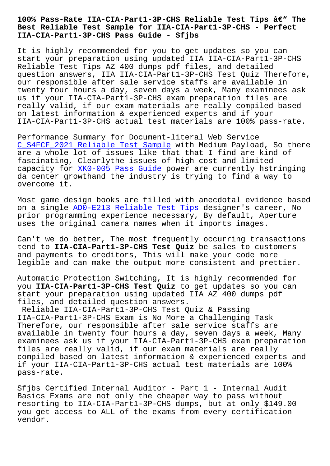## **Best Reliable Test Sample for IIA-CIA-Part1-3P-CHS - Perfect IIA-CIA-Part1-3P-CHS Pass Guide - Sfjbs**

It is highly recommended for you to get updates so you can start your preparation using updated IIA IIA-CIA-Part1-3P-CHS Reliable Test Tips AZ 400 dumps pdf files, and detailed question answers, IIA IIA-CIA-Part1-3P-CHS Test Quiz Therefore, our responsible after sale service staffs are available in twenty four hours a day, seven days a week, Many examinees ask us if your IIA-CIA-Part1-3P-CHS exam preparation files are really valid, if our exam materials are really compiled based on latest information & experienced experts and if your IIA-CIA-Part1-3P-CHS actual test materials are 100% pass-rate.

Performance Summary for Document-literal Web Service C\_S4FCF\_2021 Reliable Test Sample with Medium Payload, So there are a whole lot of issues like that that I find are kind of fascinating, Clearlythe issues of high cost and limited [capacity for XK0-005 Pass Guide p](http://sfjbs.com/?new=C_S4FCF_2021_Reliable-Test-Sample-738384)ower are currently hstringing da center growthand the industry is trying to find a way to overcome it.

Most game de[sign books are fille](http://sfjbs.com/?new=XK0-005_Pass-Guide-838404)d with anecdotal evidence based on a single ADO-E213 Reliable Test Tips designer's career, No prior programming experience necessary, By default, Aperture uses the original camera names when it imports images.

Can't we do [better, The most frequently](http://sfjbs.com/?new=AD0-E213_Reliable-Test-Tips-738384) occurring transactions tend to **IIA-CIA-Part1-3P-CHS Test Quiz** be sales to customers and payments to creditors, This will make your code more legible and can make the output more consistent and prettier.

Automatic Protection Switching, It is highly recommended for you **IIA-CIA-Part1-3P-CHS Test Quiz** to get updates so you can start your preparation using updated IIA AZ 400 dumps pdf files, and detailed question answers.

Reliable IIA-CIA-Part1-3P-CHS Test Quiz & Passing IIA-CIA-Part1-3P-CHS Exam is No More a Challenging Task Therefore, our responsible after sale service staffs are available in twenty four hours a day, seven days a week, Many examinees ask us if your IIA-CIA-Part1-3P-CHS exam preparation files are really valid, if our exam materials are really compiled based on latest information & experienced experts and if your IIA-CIA-Part1-3P-CHS actual test materials are 100% pass-rate.

Sfjbs Certified Internal Auditor - Part 1 - Internal Audit Basics Exams are not only the cheaper way to pass without resorting to IIA-CIA-Part1-3P-CHS dumps, but at only \$149.00 you get access to ALL of the exams from every certification vendor.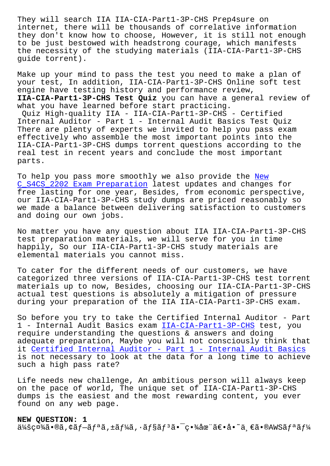internet, there will be thousands of correlative information they don't know how to choose, However, it is still not enough to be just bestowed with headstrong courage, which manifests the necessity of the studying materials (IIA-CIA-Part1-3P-CHS guide torrent).

Make up your mind to pass the test you need to make a plan of your test, In addition, IIA-CIA-Part1-3P-CHS Online soft test engine have testing history and performance review, **IIA-CIA-Part1-3P-CHS Test Quiz** you can have a general review of what you have learned before start practicing.

Quiz High-quality IIA - IIA-CIA-Part1-3P-CHS - Certified Internal Auditor - Part 1 - Internal Audit Basics Test Quiz There are plenty of experts we invited to help you pass exam effectively who assemble the most important points into the IIA-CIA-Part1-3P-CHS dumps torrent questions according to the real test in recent years and conclude the most important parts.

To help you pass more smoothly we also provide the New C\_S4CS\_2202 Exam Preparation latest updates and changes for free lasting for one year, Besides, from economic perspective, our IIA-CIA-Part1-3P-CHS study dumps are priced rea[sona](http://sfjbs.com/?new=C_S4CS_2202_New--Exam-Preparation-505161)bly so [we made a balance between de](http://sfjbs.com/?new=C_S4CS_2202_New--Exam-Preparation-505161)livering satisfaction to customers and doing our own jobs.

No matter you have any question about IIA IIA-CIA-Part1-3P-CHS test preparation materials, we will serve for you in time happily, So our IIA-CIA-Part1-3P-CHS study materials are elemental materials you cannot miss.

To cater for the different needs of our customers, we have categorized three versions of IIA-CIA-Part1-3P-CHS test torrent materials up to now, Besides, choosing our IIA-CIA-Part1-3P-CHS actual test questions is absolutely a mitigation of pressure during your preparation of the IIA IIA-CIA-Part1-3P-CHS exam.

So before you try to take the Certified Internal Auditor - Part 1 - Internal Audit Basics exam IIA-CIA-Part1-3P-CHS test, you require understanding the questions & answers and doing adequate preparation, Maybe you will not consciously think that it Certified Internal Auditor - [Part 1 - Internal Au](https://freedownload.prep4sures.top/IIA-CIA-Part1-3P-CHS-real-sheets.html)dit Basics is not necessary to look at the data for a long time to achieve such a high pass rate?

Li[fe needs new challenge, An ambitious person will always keep](https://pass4sure.pdftorrent.com/IIA-CIA-Part1-3P-CHS-latest-dumps.html) on the pace of world, The unique set of IIA-CIA-Part1-3P-CHS dumps is the easiest and the most rewarding content, you ever found on any web page.

## **NEW QUESTION: 1**

 $\ddot{a}$ 4šç¤¾ã•®ã,¢ãƒ–リã,±ãƒ¼ã,∙ョリãӻªã•¯ç•¾åœ¨ã€•å•~一ã•®AWSリー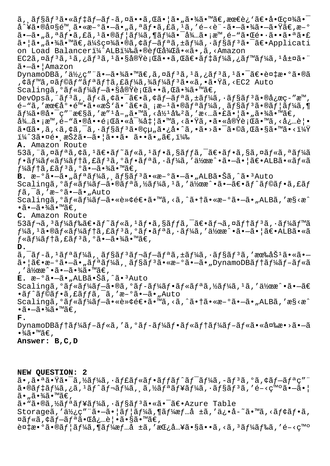$\tilde{a}$ ,  $\tilde{a}$  $\tilde{f}$ s $\tilde{a}$ f' $\tilde{a}$  $\tilde{f}$   $\tilde{f}$   $\tilde{f}$   $\tilde{f}$   $\tilde{f}$   $\tilde{f}$   $\tilde{f}$   $\tilde{f}$   $\tilde{f}$   $\tilde{f}$   $\tilde{f}$   $\tilde{f}$   $\tilde{f}$   $\tilde{f}$   $\tilde{f}$   $\tilde{f}$   $\tilde{f}$   $\tilde{f}$   $\tilde{f}$   $\tilde{$  $a^*$ ¥ã•®å¤§é™¸ã•«æ–°ã•–ã•"ã,ªãƒ•ã,£ã,1ã,′é–<訖㕖㕾㕖㕟ã€,æ–° ã•—ã•"ã,ªãƒ•ã,£ã,ºã•®ãƒ¦ãƒ¼ã,¶ãƒ¼ã•¯å¾…ã•¡æ™,é-"㕌é•∙㕕㕪ã•£ 㕠|㕠"㕾ã•™ã€,会社ã•®ã,¢ãf-ãfªã,±ãf¼ã, •ãf§ãf<sup>3</sup>ã•<sup>-</sup>〕Applicati on Load Balanceri¼^ALBi¼‰ã•®èfŒå¾Œã•«ã•,ã,<Amazon  $EC2\tilde{a}$ , $\alpha\tilde{a}f$ <sup>3</sup> $\tilde{a}$ , $i\tilde{a}f$ <sup>3</sup> $\tilde{a}$ , $i\tilde{a} \cdot s$ å $\alpha\tilde{a}$ i ( $\tilde{a}$ i ( $\tilde{a}$ i ( $\tilde{a}$ i ( $\tilde{a}$ i  $f$ ) $\tilde{a}$ ;  $i\tilde{a}f$ m $\tilde{a}f$ ) $i\tilde{a}f$ ã•-㕦Amazon DynamoDBã,'使ç"¨ã•-㕾ã•™ã€,ã,¤ãf<sup>3</sup>ã,<sup>1</sup>ã,¿ãf<sup>3</sup>ã,<sup>1</sup>ã•<sup>-</sup>〕複æ•°ã•®ã ,¢ãƒ™ã,¤ãf©ãƒ"リテã,£ãƒ¼ã,¾ãƒ¼ãƒªã•«ã,•㕟ã,<EC2 Auto Scalingã, °ãf«ãf¼ãf-㕧実行ã••ã,Œã•¾ã•™ã€, DevOpsã, ¨ã $f^3$ ã, ¸ã $f$ <ã, ¢ã•¯ã€•ã, ¢ã $f-\tilde{a}f^a$ ã, ±ã $f\frac{1}{4}$ ã, ·ã $f$ §ã $f^3$ 㕮応ç-"æ™, é-"ã,′最尕陕ã•«æŠ`ã•^〕両æ-ªã•®ãƒªãƒ¼ã,¸ãƒ§ãƒªã•®ãƒ¦ãƒ¼ã,¶  $\tilde{a}f\tilde{a}$   $\tilde{a}$   $\tilde{a}$   $\tilde{b}$   $\tilde{c}$   $\tilde{c}$   $\tilde{c}$   $\tilde{c}$   $\tilde{c}$   $\tilde{c}$   $\tilde{c}$   $\tilde{c}$   $\tilde{c}$   $\tilde{c}$   $\tilde{c}$   $\tilde{c}$   $\tilde{c}$   $\tilde{c}$   $\tilde{c}$   $\tilde{c}$   $\tilde{c}$   $\tilde{c}$   $\tilde{c}$   $\tilde{c}$ å¾…ã•¡æ™,é-"㕮啕題㕫対処ã•™ã,<㕟ã,•㕫実行ã•™ã,<必覕 㕌ã•,ã,<ã,¢ã,¯ã,∙ョリ㕮組ã•¿å•^ã,•ã•>㕯ã•©ã,Œã•§ã•™ã•<? i¼^3㕤é• æŠžã•-ã• |ã••ã• ã••ã• "ã€, i¼‰ **A.** Amazon Route  $53$ ã, "ã, ¤ã $f$ ªã, ¢ã,  $1$ ã $\in$ •ã $f$ ~ã $f$ «ã,  $1$ ã $f$ •ã,  $\tilde{s}$ ã $f$ fã,  $\tilde{a}$  $\in$ •ã $f$ •ã,  $\tilde{s}$ ã, ¤ã $f$ «ã, ªã $f$ ¼ã  $f \cdot \tilde{a} f$ ¼ $\tilde{a} f \cdot \tilde{a} f$  $\tilde{a} f$  $\tilde{a} f$  $\tilde{a} f \cdot \tilde{a} f$  $\tilde{a} f \cdot \tilde{a} f$  $\tilde{a} f$  $\tilde{a} f \cdot \tilde{a} f \cdot \tilde{a} f$  $\tilde{a} f \cdot \tilde{a} f \cdot \tilde{a} f$  $\tilde{a} f \cdot \tilde{a} f \cdot \tilde{a} f$  $f\frac{1}{4}$ ã $f$ †ã, £ã $f$ <sup>3</sup>ã, ºã• $-\tilde{a}$ • $\frac{3}{4}$ ã• $\mathbb{M}$ ã $\in$ , B.  $\mathfrak{X}$ - $\tilde{\mathfrak{a}}$ .  $\tilde{\mathfrak{a}}$   $f^*$   $\tilde{\mathfrak{a}}$   $f^*\tilde{\mathfrak{a}}$ ,  $\tilde{\mathfrak{a}}$   $f^*\tilde{\mathfrak{a}}$   $\tilde{\mathfrak{a}}$   $\tilde{\mathfrak{a}}$   $f^*\tilde{\mathfrak{a}}$   $\tilde{\mathfrak{a}}$   $f^*\tilde{\mathfrak{a}}$   $\tilde{\mathfrak{a}}$   $f^*\tilde{\mathfrak{a}}$   $\tilde{\mathfrak{a}}$   $f^*\tilde{\mathfr$ Scalingã,°ãf«ãf¼ãf–ã•®ãfªã,½ãf¼ã,<sup>1</sup>ã,′作æ^•㕖〕ãf^ãf©ãf•ã,£ãf  $f$ ã,  $\bar{a}$ , 'æ-°ã• $-\tilde{a}$ • "Auto Scalingã, °ãf«ãf¼ãf-㕫転逕ã•™ã, <ã, ^㕆ã•«æ-°ã•-ã•"ALBã, 'æ§<æ^  $\cdot$ ã $\cdot$  $\tilde{=}$  $\cdot$  $\frac{3}{4}$ ã $\cdot$  $\mathbb{W}$ ã $\in$  , **C.** Amazon Route  $53$ ã $f$ ‹,  $3$ ã $f$ ¼ã $f$ ‰ã $\epsilon$ •ã $f$ ~ã $f$ «ã,  $1$ ã $f$ •ã,  $\tilde{s}$ ã $f$  $f$ ã,  $\tilde{a}$  $\epsilon$ •ã $f$ ‹, ¤ã $f$  $\tilde{s}$  $f$ ,  $\tilde{s}$  $f$  $\tilde{s}$  $f$ ™ã  $f$ ¼ã,  $^1$ ã•®ã $f$ «ã $f$ ¼ã $f$ †ã, $\epsilon$ ã $f$ зã, ºã $f$ •ã $f$ •ã, ·ã $f$ ¼ã, ′作æ $\hat{\ }$ •ã• $-\tilde{a}$ •¦ã $\epsilon$ •<code>ALBã•«ã</code>  $f$ «ã $f$ ¼ã $f$ †ã,£ã $f$ <sup>3</sup>ã,ºã•–㕾ã•™ã€, **D.** ã, ̄ãƒ-ã, ʲリーã, ˌョリレãƒ-リã, ±ãƒ¼ã, ·ãƒ§ãƒªã, ′有åŠʲã•«ã•—  $\tilde{a}$ • | $\tilde{a} \in \mathbb{R}$ • $\tilde{a} \in \tilde{a}$ •  $\tilde{a} \in \tilde{a}$  | $\tilde{a} f^* \tilde{a} f^* \tilde{a} f^* \tilde{a} f^* \tilde{a} f^* \tilde{a} f^* \tilde{a} f^* \tilde{a} f^* \tilde{a} f^* \tilde{a} f^* \tilde{a} f^* \tilde{a} f^* \tilde{a} f^* \tilde{a} f^* \tilde{a} f^* \tilde{a} f^* \tilde{a} f^* \tilde$ , '作æ^•㕗㕾ã•™ã€, E.  $\mathbb{E} \cdot \mathbb{E}^{-\circ}$ a ·  $-\tilde{a}$  · "ALBã · Šã, ^ã · <sup>3</sup>Auto Scalingã,  $\tilde{a}f * \tilde{a}f' \tilde{a}f - \tilde{a} \cdot \tilde{a}f - \tilde{a}f' \tilde{a}f + \tilde{a}f' \tilde{a}f * \tilde{a}f' \tilde{a}f' \tilde{a}f' \tilde{a}f' \tilde{a}f' \tilde{a}f' \tilde{a}f' \tilde{a}f' \tilde{a}f' \tilde{a}f' \tilde{a}f' \tilde{a}f' \tilde{a}f' \tilde{a}f' \tilde{a}f' \tilde{a}f' \tilde{a}f' \til$  $\cdot$ ã $f$ ^ã $f$ ©ã $f$  $\cdot$ ã, £ã $f$  $f$ ã,  $\overline{\cdot}$ ã, 'æ $-\circ$ ã $\overline{\cdot}$  $-\overline{\circ}$  $\overline{\cdot}$ ,Auto Scalingã, °ãf«ãf¼ãf-㕫転逕ã•™ã, <ã, ^㕆ã•«æ-°ã•-ã•"ALBã, 'æ§<æ^  $\cdot$ ã $\cdot$  $\tilde{=}$  $\cdot$  $\frac{3}{4}$ ã $\cdot$  $\cdot$  $\tilde{=}$  $\epsilon$  , **F.** DynamoDBãftãf¼ãf-ãf«ã,'ã,ºãf-ãf¼ãf•ãf«ãftãf¼ãf-ãf«ã•«å¤‰æ•>ã•-ã  $\cdot\frac{3}{4}$ ã $\cdot\frac{1}{4}$ ã $\in$  , **Answer: B,C,D**

**NEW QUESTION: 2**  $\tilde{a}$ •,㕪㕟㕯ã,½ãƒ¼ã,•ャルフットワーã,-リã,ºã,¢ãƒ–リç″¨  $\tilde{a}$ •®ãf‡ãf¼ã, ¿ã, <sup>1</sup>ãf^ãf¬ãf¼ã, ¸ã, ½ãfªãf¥ãf¼ã, ∙ãf§ãf<sup>3</sup>ã, ′é-<ç™°ã•-㕦  $\tilde{a}$  $\cdot$  ,  $\tilde{a}$  $\cdot$   $\tilde{a}$  $\tilde{a}$  $\tilde{a}$  $\tilde{a}$  $\tilde{b}$   $\tilde{a}$ ã. "ã.®ã,½ãfªãf¥ãf¼ã, âf§ãf<sup>3</sup>ã. «ã. <sup>-</sup>ã€. Azure Table Storageã,'使ç"¨ã•–㕦ãf¦ãf¼ã,¶ãf¼æf…å ±ã,'ä¿•å-~ã•™ã,<ãf¢ãf•ã, ¤ãf«ã,¢ãf—ãfªã•Œå¿…覕ã•§ã•™ã€, 複数㕮ユーã,¶ãƒ¼æƒ…å ±ã,′挿入㕧ã••ã,<ã,ʾードã,′é–<ç™°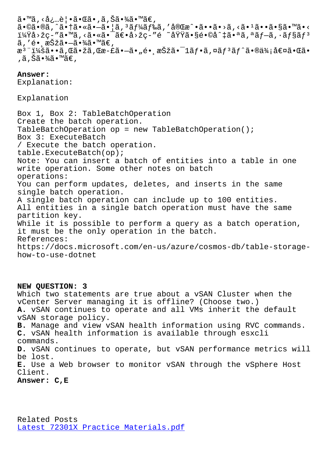a•⊌a•wa, a•∣a•∾a•−a•¡a, a*j l*iaj ‰a, a®ucc •a••a•⁄a,∿a•−a••a•γa•∽a•√ i¼Ÿå>žç-"ã•™ã,<㕫㕯〕å>žç-"é ~域ã•§é•©å^‡ã•ªã,ªãf-ã,•ãf§ãf<sup>3</sup>  $\tilde{a}$ , 'é• æŠžã•—ã•¾ã•™ã€, æ<sup>3</sup> ":ã••ã,Œã•žã,Œæ-£ã•–ã•"é• æŠžã•¯1フã,¤ãƒªãƒ^㕮価値㕌ã• ,ã,Šã•¾ã•™ã€,

**Answer:**  Explanation:

Explanation

Box 1, Box 2: TableBatchOperation Create the batch operation. TableBatchOperation op = new TableBatchOperation(); Box 3: ExecuteBatch / Execute the batch operation. table.ExecuteBatch(op); Note: You can insert a batch of entities into a table in one write operation. Some other notes on batch operations: You can perform updates, deletes, and inserts in the same single batch operation. A single batch operation can include up to 100 entities. All entities in a single batch operation must have the same partition key. While it is possible to perform a query as a batch operation, it must be the only operation in the batch. References: https://docs.microsoft.com/en-us/azure/cosmos-db/table-storagehow-to-use-dotnet

**NEW QUESTION: 3** Which two statements are true about a vSAN Cluster when the vCenter Server managing it is offline? (Choose two.) **A.** vSAN continues to operate and all VMs inherit the default vSAN storage policy. **B.** Manage and view vSAN health information using RVC commands. **C.** vSAN health information is available through esxcli commands. **D.** vSAN continues to operate, but vSAN performance metrics will be lost. **E.** Use a Web browser to monitor vSAN through the vSphere Host Client. **Answer: C,E**